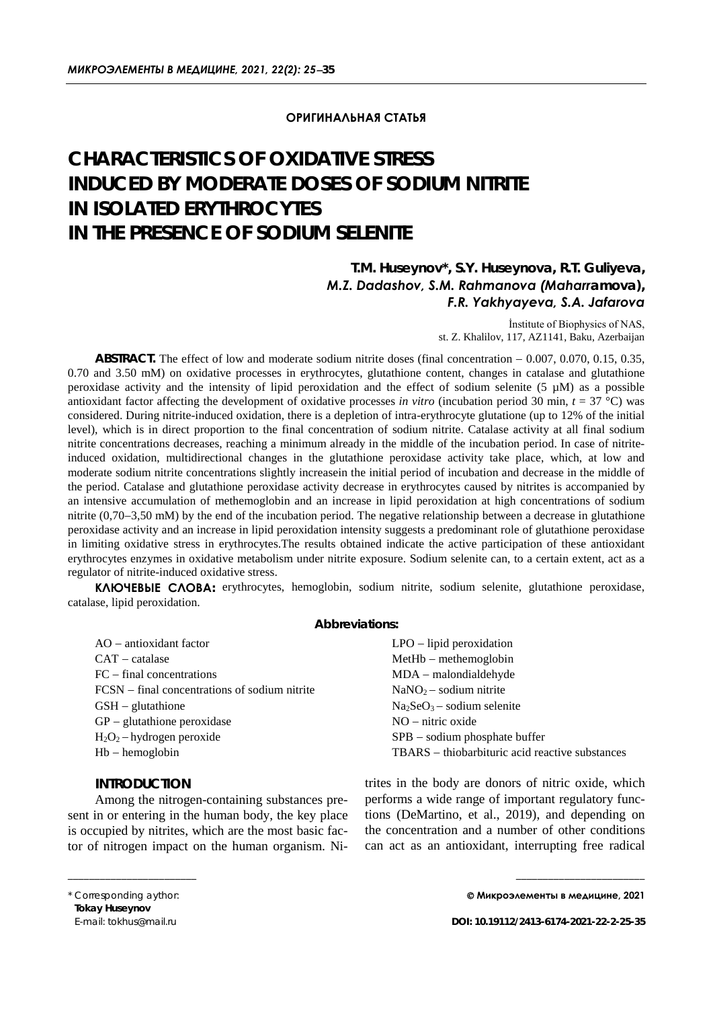### **ОРИГИНАЛЬНАЯ СТАТЬЯ**

# **CHARACTERISTICS OF OXIDATIVE STRESS INDUCED BY MODERATE DOSES OF SODIUM NITRITE IN ISOLATED ERYTHROCYTES IN THE PRESENCE OF SODIUM SELENITE**

# *T.M. Huseynov\*, S.Y. Huseynova, R.T. Guliyeva, M.Z. Dadashov, S.М. Rahmanova (Maharramova), F.R. Yakhyayeva, S.А. Jafarova*

İnstitute of Biophysics of NAS, st. Z. Khalilov, 117, AZ1141, Baku, Azerbaijan

**ABSTRACT.** The effect of low and moderate sodium nitrite doses (final concentration − 0.007, 0.070, 0.15, 0.35, 0.70 and 3.50 mM) on oxidative processes in erythrocytes, glutathione content, changes in catalase and glutathione peroxidase activity and the intensity of lipid peroxidation and the effect of sodium selenite (5  $\mu$ M) as a possible antioxidant factor affecting the development of oxidative processes *in vitro* (incubation period 30 min, *t* = 37 °C) was considered. During nitrite-induced oxidation, there is a depletion of intra-erythrocyte glutatione (up to 12% of the initial level), which is in direct proportion to the final concentration of sodium nitrite. Catalase activity at all final sodium nitrite concentrations decreases, reaching a minimum already in the middle of the incubation period. In case of nitriteinduced oxidation, multidirectional changes in the glutathione peroxidase activity take place, which, at low and moderate sodium nitrite concentrations slightly increasein the initial period of incubation and decrease in the middle of the period. Catalase and glutathione peroxidase activity decrease in erythrocytes caused by nitrites is accompanied by an intensive accumulation of methemoglobin and an increase in lipid peroxidation at high concentrations of sodium nitrite (0,70−3,50 mM) by the end of the incubation period. The negative relationship between a decrease in glutathione peroxidase activity and an increase in lipid peroxidation intensity suggests a predominant role of glutathione peroxidase in limiting oxidative stress in erythrocytes.The results obtained indicate the active participation of these antioxidant erythrocytes enzymes in oxidative metabolism under nitrite exposure. Sodium selenite can, to a certain extent, act as a regulator of nitrite-induced oxidative stress.

**КЛЮЧЕВЫЕ СЛОВА:** erythrocytes, hemoglobin, sodium nitrite, sodium selenite, glutathione peroxidase, catalase, lipid peroxidation.

#### *Abbreviations:*

| $AO - antioxidant factor$                       | $LPO - lipid peroxidation$                      |
|-------------------------------------------------|-------------------------------------------------|
| $CAT - catalase$                                | $MetHb - methemoglobin$                         |
| $FC$ – final concentrations                     | $MDA$ – malondialdehyde                         |
| $FCSN$ – final concentrations of sodium nitrite | $NaNO2 - sodium nitrite$                        |
| $GSH - glutathione$                             | $Na2SeO3 - sodium selenite$                     |
| $GP - glutathione peroxidase$                   | $NO - nitric oxide$                             |
| $H_2O_2$ – hydrogen peroxide                    | SPB – sodium phosphate buffer                   |
| $Hb - hemoglobin$                               | TBARS – thiobarbituric acid reactive substances |
|                                                 |                                                 |

## *INTRODUCTION*

Among the nitrogen-containing substances present in or entering in the human body, the key place is occupied by nitrites, which are the most basic factor of nitrogen impact on the human organism. Ni-

trites in the body are donors of nitric oxide, which performs a wide range of important regulatory functions (DeMartino, et al., 2019), and depending on the concentration and a number of other conditions can act as an antioxidant, interrupting free radical

\_\_\_\_\_\_\_\_\_\_\_\_\_\_\_\_\_\_\_\_\_\_\_\_

\_\_\_\_\_\_\_\_\_\_\_\_\_\_\_\_\_\_\_\_\_\_\_\_

<sup>\*</sup> Corresponding aythor: **Tokay Huseynov** E-mail: tokhus@mail.ru

**Микроэлементы в медицине, 2021**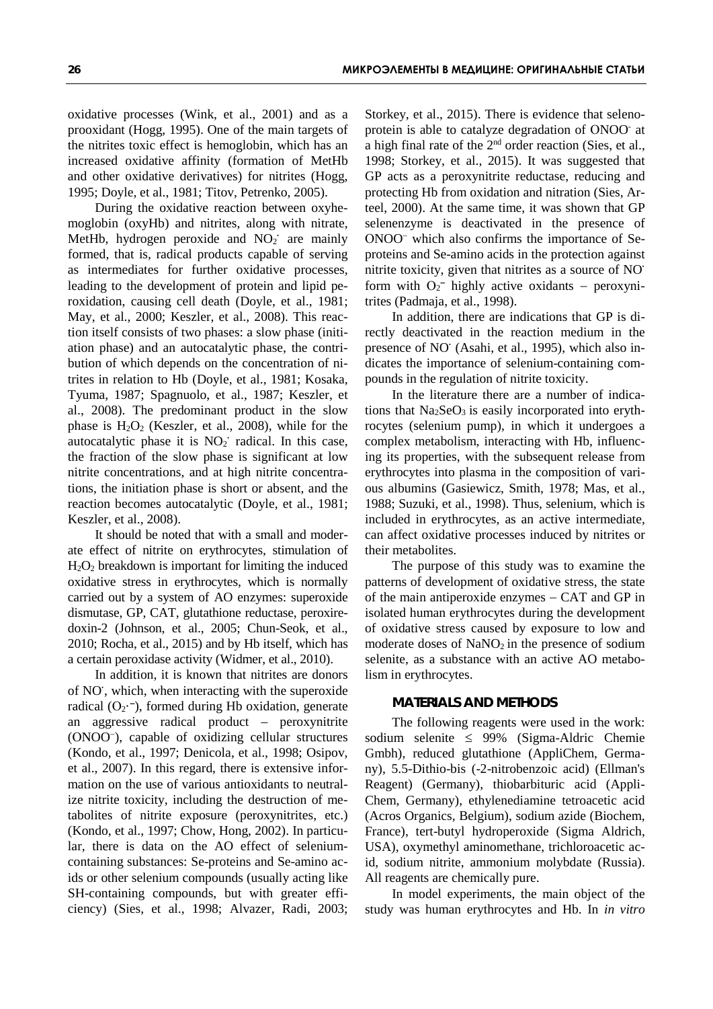oxidative processes (Wink, et al., 2001) and as a prooxidant (Hogg, 1995). One of the main targets of the nitrites toxic effect is hemoglobin, which has an increased oxidative affinity (formation of MetHb and other oxidative derivatives) for nitrites (Hogg, 1995; Doyle, et al., 1981; Titov, Petrenko, 2005).

During the oxidative reaction between oxyhemoglobin (oxyHb) and nitrites, along with nitrate, MetHb, hydrogen peroxide and NO<sub>2</sub> are mainly formed, that is, radical products capable of serving as intermediates for further oxidative processes, leading to the development of protein and lipid peroxidation, causing cell death (Doyle, et al., 1981; May, et al., 2000; Keszler, et al., 2008). This reaction itself consists of two phases: a slow phase (initiation phase) and an autocatalytic phase, the contribution of which depends on the concentration of nitrites in relation to Hb (Doyle, et al., 1981; Kosaka, Tyuma, 1987; Spagnuolo, et al., 1987; Keszler, et al., 2008). The predominant product in the slow phase is  $H_2O_2$  (Keszler, et al., 2008), while for the autocatalytic phase it is NO<sub>2</sub><sup>·</sup> radical. In this case, the fraction of the slow phase is significant at low nitrite concentrations, and at high nitrite concentrations, the initiation phase is short or absent, and the reaction becomes autocatalytic (Doyle, et al., 1981; Keszler, et al., 2008).

It should be noted that with a small and moderate effect of nitrite on erythrocytes, stimulation of H2O2 breakdown is important for limiting the induced oxidative stress in erythrocytes, which is normally carried out by a system of AO enzymes: superoxide dismutase, GP, CAT, glutathione reductase, peroxiredoxin-2 (Johnson, et al., 2005; Chun-Seok, et al., 2010; Rocha, et al., 2015) and by Hb itself, which has a certain peroxidase activity (Widmer, et al., 2010).

In addition, it is known that nitrites are donors of NO**·** , which, when interacting with the superoxide radical  $(O_2$ <sup>--</sup>), formed during Hb oxidation, generate an aggressive radical product – peroxynitrite (ОNOO<sup>−</sup> ), capable of oxidizing cellular structures (Kondo, et al., 1997; Denicola, et al., 1998; Osipov, et al., 2007). In this regard, there is extensive information on the use of various antioxidants to neutralize nitrite toxicity, including the destruction of metabolites of nitrite exposure (peroxynitrites, etc.) (Kondo, et al., 1997; Chow, Hong, 2002). In particular, there is data on the AO effect of seleniumcontaining substances: Se-proteins and Se-amino acids or other selenium compounds (usually acting like SH-containing compounds, but with greater efficiency) (Sies, et al., 1998; Alvazer, Radi, 2003;

Storkey, et al., 2015). There is evidence that selenoprotein is able to catalyze degradation of ONOO<sup>-</sup> at a high final rate of the 2nd order reaction (Sies, et al., 1998; Storkey, et al., 2015). It was suggested that GP acts as a peroxynitrite reductase, reducing and protecting Hb from oxidation and nitration (Sies, Arteel, 2000). At the same time, it was shown that GP selenenzyme is deactivated in the presence of ОNOO<sup>−</sup> which also confirms the importance of Seproteins and Se-amino acids in the protection against nitrite toxicity, given that nitrites as a source of NO**·** form with  $O_2^-$  highly active oxidants – peroxynitrites (Padmaja, et al., 1998).

In addition, there are indications that GP is directly deactivated in the reaction medium in the presence of NO<sup> $\cdot$ </sup> (Asahi, et al., 1995), which also indicates the importance of selenium-containing compounds in the regulation of nitrite toxicity.

In the literature there are a number of indications that  $Na<sub>2</sub>SeO<sub>3</sub>$  is easily incorporated into erythrocytes (selenium pump), in which it undergoes a complex metabolism, interacting with Hb, influencing its properties, with the subsequent release from erythrocytes into plasma in the composition of various albumins (Gasiewicz, Smith, 1978; Mas, et al., 1988; Suzuki, et al., 1998). Thus, selenium, which is included in erythrocytes, as an active intermediate, can affect oxidative processes induced by nitrites or their metabolites.

The purpose of this study was to examine the patterns of development of oxidative stress, the state of the main antiperoxide enzymes − CAT and GP in isolated human erythrocytes during the development of oxidative stress caused by exposure to low and moderate doses of  $NaNO<sub>2</sub>$  in the presence of sodium selenite, as a substance with an active AO metabolism in erythrocytes.

#### *MATERIALS AND METHODS*

The following reagents were used in the work: sodium selenite ≤ 99% (Sigma-Aldric Chemie Gmbh), reduced glutathione (AppliChem, Germany), 5.5-Dithio-bis (-2-nitrobenzoic acid) (Ellman's Reagent) (Germany), thiobarbituric acid (Appli-Chem, Germany), ethylenediamine tetroacetic acid (Acros Organics, Belgium), sodium azide (Biochem, France), tert-butyl [hydroperoxide](https://www.google.ru/search?newwindow=1&hl=ru-AZ&authuser=0&q=tert+butyl+hydroperoxide&spell=1&sa=X&ved=2ahUKEwj8yaTRz63vAhULKBoKHdNdB80QkeECKAB6BAgCEDM) (Sigma Aldrich, USA), oxymethyl aminomethane, trichloroacetic acid, sodium nitrite, ammonium molybdate (Russia). All reagents are chemically pure.

In model experiments, the main object of the study was human erythrocytes and Hb. In *in vitro*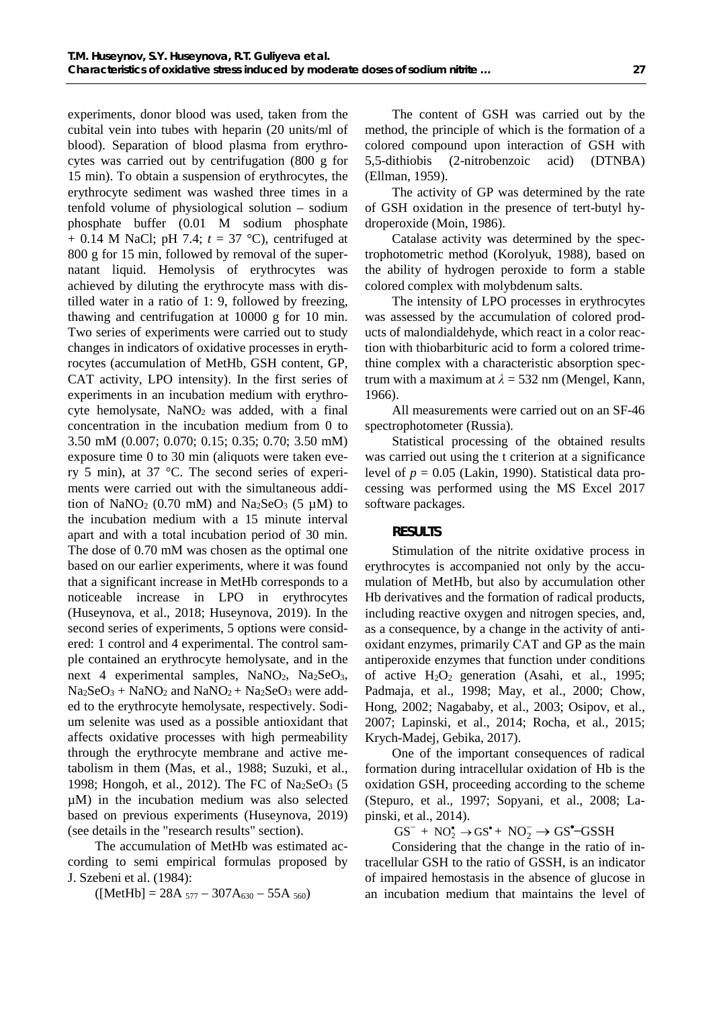experiments, donor blood was used, taken from the cubital vein into tubes with heparin (20 units/ml of blood). Separation of blood plasma from erythrocytes was carried out by centrifugation (800 g for 15 min). To obtain a suspension of erythrocytes, the erythrocyte sediment was washed three times in a tenfold volume of physiological solution – sodium phosphate buffer (0.01 M sodium phosphate + 0.14 M NaCl; pH 7.4; *t* = 37 °C), centrifuged at 800 g for 15 min, followed by removal of the supernatant liquid. Hemolysis of erythrocytes was achieved by diluting the erythrocyte mass with distilled water in a ratio of 1: 9, followed by freezing, thawing and centrifugation at 10000 g for 10 min. Two series of experiments were carried out to study changes in indicators of oxidative processes in erythrocytes (accumulation of MetHb, GSH content, GP, CAT activity, LPO intensity). In the first series of experiments in an incubation medium with erythrocyte hemolysate, NaNO<sub>2</sub> was added, with a final concentration in the incubation medium from 0 to 3.50 mM (0.007; 0.070; 0.15; 0.35; 0.70; 3.50 mM) exposure time 0 to 30 min (aliquots were taken every 5 min), at 37 °C. The second series of experiments were carried out with the simultaneous addition of NaNO<sub>2</sub> (0.70 mM) and Na<sub>2</sub>SeO<sub>3</sub> (5  $\mu$ M) to the incubation medium with a 15 minute interval apart and with a total incubation period of 30 min. The dose of 0.70 mM was chosen as the optimal one based on our earlier experiments, where it was found that a significant increase in MetHb corresponds to a noticeable increase in LPO in erythrocytes (Huseynova, et al., 2018; Huseynova, 2019). In the second series of experiments, 5 options were considered: 1 control and 4 experimental. The control sample contained an erythrocyte hemolysate, and in the next 4 experimental samples,  $NaNO<sub>2</sub>$ ,  $Na<sub>2</sub>SeO<sub>3</sub>$ ,  $Na<sub>2</sub>SeO<sub>3</sub> + NaNO<sub>2</sub>$  and  $NaNO<sub>2</sub> + Na<sub>2</sub>SeO<sub>3</sub>$  were added to the erythrocyte hemolysate, respectively. Sodium selenite was used as a possible antioxidant that affects oxidative processes with high permeability through the erythrocyte membrane and active metabolism in them (Mas, et al., 1988; Suzuki, et al., 1998; Hongoh, et al., 2012). The FC of Na<sub>2</sub>SeO<sub>3</sub> (5 µM) in the incubation medium was also selected based on previous experiments (Huseynova, 2019) (see details in the "research results" section).

The accumulation of MetHb was estimated according to semi empirical formulas proposed by J. Szebeni et al. (1984):

 $([Method] = 28A_{577} - 307A_{630} - 55A_{560})$ 

The content of GSH was carried out by the method, the principle of which is the formation of a colored compound upon interaction of GSH with 5,5-dithiobis (2-nitrobenzoic acid) (DTNBA) (Ellman, 1959).

The activity of GP was determined by the rate of GSH oxidation in the presence of tert-butyl hydroperoxide (Moin, 1986).

Catalase activity was determined by the spectrophotometric method (Korolyuk, 1988), based on the ability of hydrogen peroxide to form a stable colored complex with molybdenum salts.

The intensity of LPO processes in erythrocytes was assessed by the accumulation of colored products of malondialdehyde, which react in a color reaction with thiobarbituric acid to form a colored trimethine complex with a characteristic absorption spectrum with a maximum at  $\lambda = 532$  nm (Mengel, Kann, 1966).

All measurements were carried out on an SF-46 spectrophotometer (Russia).

Statistical processing of the obtained results was carried out using the t criterion at a significance level of  $p = 0.05$  (Lakin, 1990). Statistical data processing was performed using the MS Excel 2017 software packages.

#### *RESULTS*

Stimulation of the nitrite oxidative process in erythrocytes is accompanied not only by the accumulation of MetHb, but also by accumulation other Hb derivatives and the formation of radical products, including reactive oxygen and nitrogen species, and, as a consequence, by a change in the activity of antioxidant enzymes, primarily САТ and GP as the main antiperoxide enzymes that function under conditions of active  $H_2O_2$  generation (Asahi, et al., 1995; Padmaja, et al., 1998; May, et al., 2000; Chow, Hong, 2002; Nagababy, et al., 2003; Osipov, et al., 2007; Lapinski, et al., 2014; Rocha, et al., 2015; Krych-Madej, Gebika, 2017).

One of the important consequences of radical formation during intracellular oxidation of Hb is the oxidation GSH, proceeding according to the scheme (Stepuro, et al., 1997; Sopyani, et al., 2008; Lapinski, et al., 2014).

 $GS^- + NO_2^{\bullet} \rightarrow GS^{\bullet} + NO_2^- \rightarrow GS^{\bullet}$ -GSSH

Considering that the change in the ratio of intracellular GSH to the ratio of GSSH, is an indicator of impaired hemostasis in the absence of glucose in an incubation medium that maintains the level of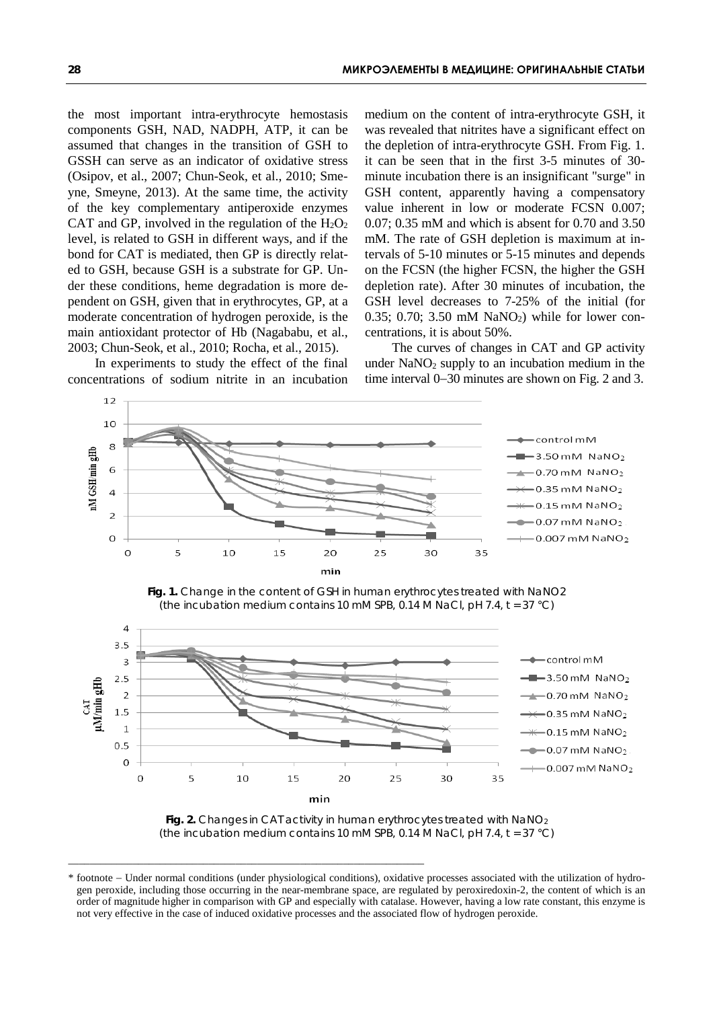the most important intra-erythrocyte hemostasis components GSH, NAD, NADPH, ATP, it can be assumed that changes in the transition of GSH to GSSH can serve as an indicator of oxidative stress (Osipov, et al., 2007; Chun-Seok, et al., 2010; Smeyne, Smeyne, 2013). At the same time, the activity of the key complementary antiperoxide enzymes CAT and GP, involved in the regulation of the  $H_2O_2$ level, is related to GSH in different ways, and if the bond for CAT is mediated, then GP is directly related to GSH, because GSH is a substrate for GP. Under these conditions, heme degradation is more dependent on GSH, given that in erythrocytes, GP, at a moderate concentration of hydrogen peroxide, is the main antioxidant protector of Hb (Nagababu, et al., 2003; Chun-Seok, et al., 2010; Rocha, et al., 2015).

In experiments to study the effect of the final concentrations of sodium nitrite in an incubation

medium on the content of intra-erythrocyte GSH, it was revealed that nitrites have a significant effect on the depletion of intra-erythrocyte GSH. From Fig. 1. it can be seen that in the first 3-5 minutes of 30 minute incubation there is an insignificant "surge" in GSH content, apparently having a compensatory value inherent in low or moderate FCSN 0.007; 0.07; 0.35 mM and which is absent for 0.70 and 3.50 mM. The rate of GSH depletion is maximum at intervals of 5-10 minutes or 5-15 minutes and depends on the FCSN (the higher FCSN, the higher the GSH depletion rate). After 30 minutes of incubation, the GSH level decreases to 7-25% of the initial (for  $0.35$ ;  $0.70$ ;  $3.50$  mM NaNO<sub>2</sub>) while for lower concentrations, it is about 50%.

The curves of changes in CAT and GP activity under  $NaNO<sub>2</sub>$  supply to an incubation medium in the time interval 0−30 minutes are shown on Fig. 2 and 3.



*Fig. 1. Change in the content of GSH in human erythrocytes treated with NaNO2 (the incubation medium contains 10 mM SPB, 0.14 M NaCl, pH 7.4, t = 37 °C)*



*Fig. 2. Changes in CAT activity in human erythrocytes treated with NaNO2 (the incubation medium contains 10 mM SPB, 0.14 M NaCl, pH 7.4, t = 37 °C)*

\_\_\_\_\_\_\_\_\_\_\_\_\_\_\_\_\_\_\_\_\_\_\_\_\_\_\_\_\_\_\_\_\_\_\_\_\_\_\_\_\_\_\_\_\_\_\_\_\_\_\_\_\_\_\_\_\_\_\_\_\_\_\_\_\_\_

<sup>\*</sup> footnote − Under normal conditions (under physiological conditions), oxidative processes associated with the utilization of hydrogen peroxide, including those occurring in the near-membrane space, are regulated by peroxiredoxin-2, the content of which is an order of magnitude higher in comparison with GP and especially with catalase. However, having a low rate constant, this enzyme is not very effective in the case of induced oxidative processes and the associated flow of hydrogen peroxide.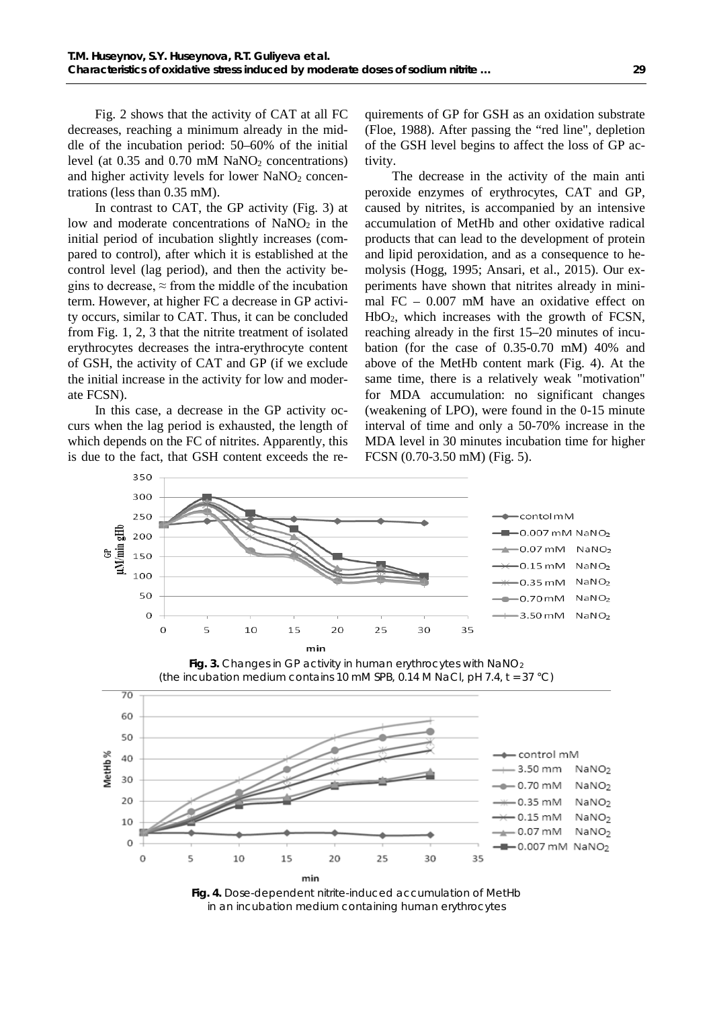Fig. 2 shows that the activity of CAT at all FC decreases, reaching a minimum already in the middle of the incubation period: 50–60% of the initial level (at  $0.35$  and  $0.70$  mM NaNO<sub>2</sub> concentrations) and higher activity levels for lower  $NaNO<sub>2</sub>$  concentrations (less than 0.35 mM).

In contrast to CAT, the GP activity (Fig. 3) at low and moderate concentrations of  $NaNO<sub>2</sub>$  in the initial period of incubation slightly increases (compared to control), after which it is established at the control level (lag period), and then the activity begins to decrease,  $\approx$  from the middle of the incubation term. However, at higher FC a decrease in GP activity occurs, similar to CAT. Thus, it can be concluded from Fig. 1, 2, 3 that the nitrite treatment of isolated erythrocytes decreases the intra-erythrocyte content of GSH, the activity of CAT and GP (if we exclude the initial increase in the activity for low and moderate FCSN).

In this case, a decrease in the GP activity occurs when the lag period is exhausted, the length of which depends on the FC of nitrites. Apparently, this is due to the fact, that GSH content exceeds the re-

quirements of GP for GSH as an oxidation substrate (Floe, 1988). After passing the "red line", depletion of the GSH level begins to affect the loss of GP activity.

The decrease in the activity of the main anti peroxide enzymes of erythrocytes, CAT and GP, caused by nitrites, is accompanied by an intensive accumulation of MetHb and other oxidative radical products that can lead to the development of protein and lipid peroxidation, and as a consequence to hemolysis (Hogg, 1995; Ansari, et al., 2015). Our experiments have shown that nitrites already in minimal FC – 0.007 mM have an oxidative effect on HbO2, which increases with the growth of FCSN, reaching already in the first 15–20 minutes of incubation (for the case of 0.35-0.70 mM) 40% and above of the MetHb content mark (Fig. 4). At the same time, there is a relatively weak "motivation" for MDA accumulation: no significant changes (weakening of LPO), were found in the 0-15 minute interval of time and only a 50-70% increase in the MDA level in 30 minutes incubation time for higher FCSN (0.70-3.50 mM) (Fig. 5).



*Fig. 4. Dose-dependent nitrite-induced accumulation of MetHb in an incubation medium containing human erythrocytes*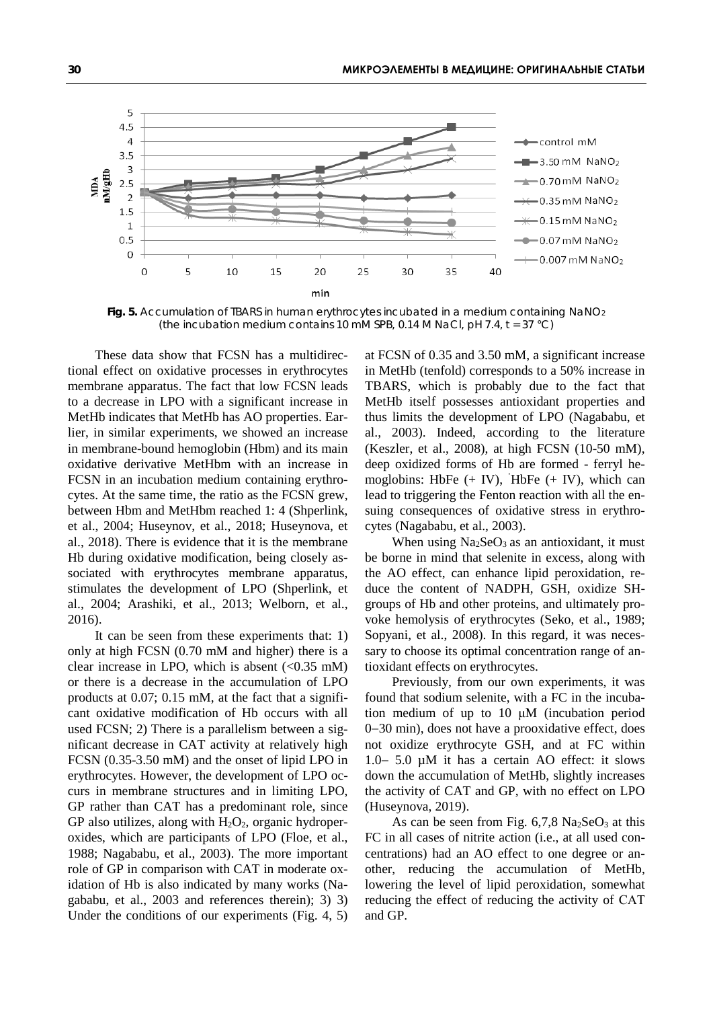

**Fig. 5.** Accumulation of TBARS in human erythrocytes incubated in a medium containing NaNO<sub>2</sub> *(the incubation medium contains 10 mM SPB, 0.14 M NaCl, pH 7.4, t = 37 °C)*

These data show that FCSN has a multidirectional effect on oxidative processes in erythrocytes membrane apparatus. The fact that low FCSN leads to a decrease in LPO with a significant increase in MetHb indicates that MetHb has AO properties. Earlier, in similar experiments, we showed an increase in membrane-bound hemoglobin (Hbm) and its main oxidative derivative MetHbm with an increase in FCSN in an incubation medium containing erythrocytes. At the same time, the ratio as the FCSN grew, between Hbm and MetHbm reached 1: 4 (Shperlink, et al., 2004; Huseynov, et al., 2018; Huseynova, et al., 2018). There is evidence that it is the membrane Hb during oxidative modification, being closely associated with erythrocytes membrane apparatus, stimulates the development of LPO (Shperlink, et al., 2004; Arashiki, et al., 2013; Welborn, et al., 2016).

It can be seen from these experiments that: 1) only at high FCSN (0.70 mM and higher) there is a clear increase in LPO, which is absent  $\langle$  <0.35 mM) or there is a decrease in the accumulation of LPO products at 0.07; 0.15 mM, at the fact that a significant oxidative modification of Hb occurs with all used FCSN; 2) There is a parallelism between a significant decrease in CAT activity at relatively high FCSN (0.35-3.50 mM) and the onset of lipid LPO in erythrocytes. However, the development of LPO occurs in membrane structures and in limiting LPO, GP rather than CAT has a predominant role, since GP also utilizes, along with  $H_2O_2$ , organic hydroperoxides, which are participants of LPO (Floe, et al., 1988; Nagababu, et al., 2003). The more important role of GP in comparison with CAT in moderate oxidation of Hb is also indicated by many works (Nagababu, et al., 2003 and references therein); 3) 3) Under the conditions of our experiments (Fig. 4, 5)

at FCSN of 0.35 and 3.50 mM, a significant increase in MetHb (tenfold) corresponds to a 50% increase in TBARS, which is probably due to the fact that MetHb itself possesses antioxidant properties and thus limits the development of LPO (Nagababu, et al., 2003). Indeed, according to the literature (Keszler, et al., 2008), at high FCSN (10-50 mM), deep oxidized forms of Hb are formed - ferryl hemoglobins: HbFe (+ IV), HbFe (+ IV), which can lead to triggering the Fenton reaction with all the ensuing consequences of oxidative stress in erythrocytes (Nagababu, et al., 2003).

When using  $Na<sub>2</sub>SeO<sub>3</sub>$  as an antioxidant, it must be borne in mind that selenite in excess, along with the AO effect, can enhance lipid peroxidation, reduce the content of NADPH, GSH, oxidize SHgroups of Hb and other proteins, and ultimately provoke hemolysis of erythrocytes (Seko, et al., 1989; Sopyani, et al., 2008). In this regard, it was necessary to choose its optimal concentration range of antioxidant effects on erythrocytes.

Previously, from our own experiments, it was found that sodium selenite, with a FC in the incubation medium of up to 10 μM (incubation period 0−30 min), does not have a prooxidative effect, does not oxidize erythrocyte GSH, and at FC within 1.0− 5.0 µM it has a certain AO effect: it slows down the accumulation of MetHb, slightly increases the activity of CAT and GP, with no effect on LPO (Huseynova, 2019).

As can be seen from Fig.  $6,7,8$  Na<sub>2</sub>SeO<sub>3</sub> at this FC in all cases of nitrite action (i.e., at all used concentrations) had an AO effect to one degree or another, reducing the accumulation of MetHb, lowering the level of lipid peroxidation, somewhat reducing the effect of reducing the activity of САТ and GP.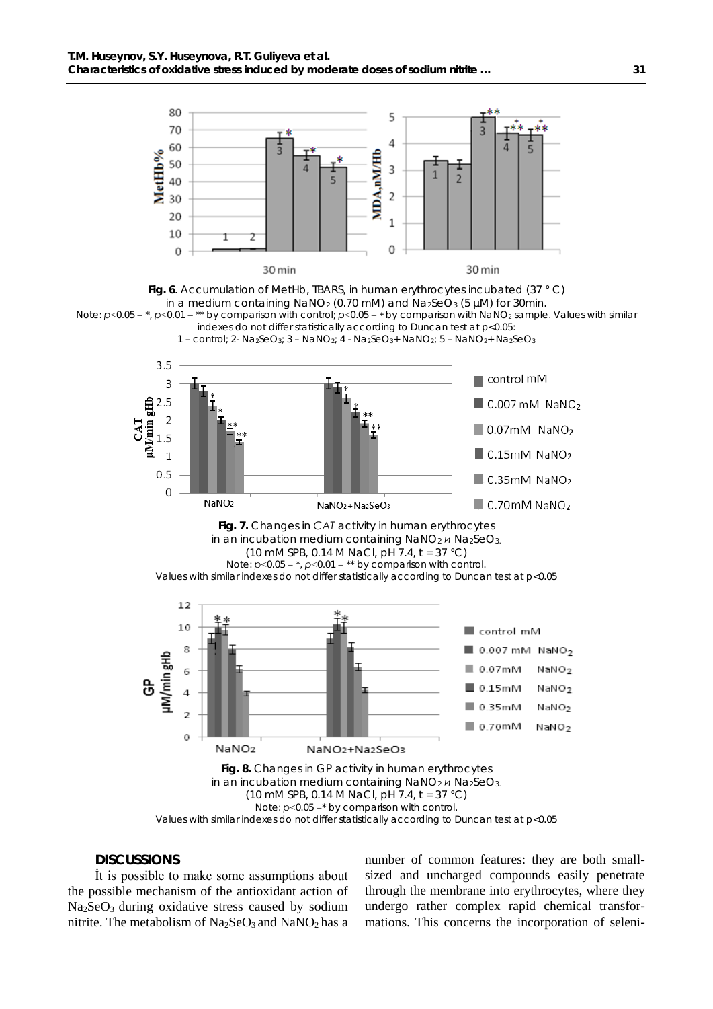

*Fig. 6. Accumulation of MetHb, TBARS, in human erythrocytes incubated (37 ° C) in a medium containing NaNO2 (0.70 mM) and Na2SeO3 (5 µM) for 30min.*  Note: *р*˂0.05 − \*, *р*˂0.01 − \*\* by comparison with control; *р*˂0.05 − **<sup>+</sup>** by comparison with NaNO2 sample. Values with similar indexes do not differ statistically according to Duncan test at *p*<0.05:









Values with similar indexes do not differ statistically according to Duncan test at *p*<0.05

### *DISCUSSIONS*

İt is possible to make some assumptions about the possible mechanism of the antioxidant action of  $Na<sub>2</sub>SeO<sub>3</sub>$  during oxidative stress caused by sodium nitrite. The metabolism of  $Na<sub>2</sub>SeO<sub>3</sub>$  and  $NaNO<sub>2</sub>$  has a number of common features: they are both smallsized and uncharged compounds easily penetrate through the membrane into erythrocytes, where they undergo rather complex rapid chemical transformations. This concerns the incorporation of seleni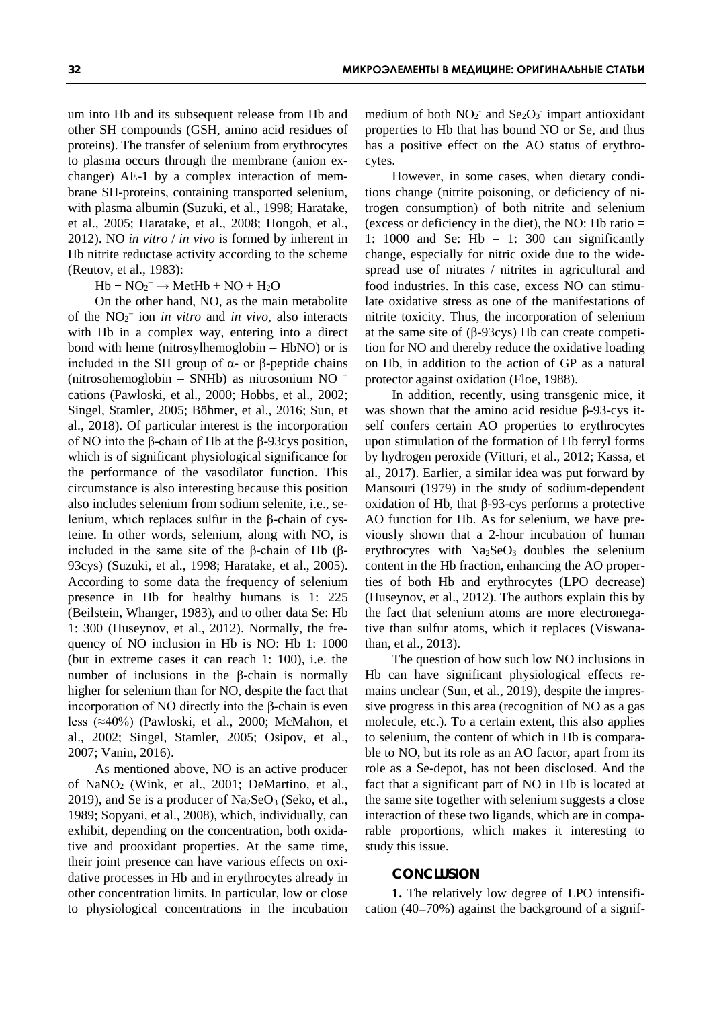um into Hb and its subsequent release from Hb and other SH compounds (GSH, amino acid residues of proteins). The transfer of selenium from erythrocytes to plasma occurs through the membrane (anion exchanger) AE-1 by a complex interaction of membrane SH-proteins, containing transported selenium, with plasma albumin (Suzuki, et al., 1998; Haratake, et al., 2005; Haratake, et al., 2008; Hongoh, et al., 2012). NO *in vitro* / *in vivo* is formed by inherent in Hb nitrite reductase activity according to the scheme (Reutov, et al., 1983):

## $Hb + NO_2^- \rightarrow MetHb + NO + H_2O$

On the other hand, NO, as the main metabolite of the NO2 <sup>−</sup> ion *in vitro* and *in vivo*, also interacts with Hb in a complex way, entering into a direct bond with heme (nitrosylhemoglobin – HbNO) or is included in the SH group of α- or β-peptide chains (nitrosohemoglobin – SNHb) as nitrosonium NO + cations (Pawloski, et al., 2000; Hobbs, et al., 2002; Singel, Stamler, 2005; Böhmer, et al., 2016; Sun, et al., 2018). Of particular interest is the incorporation of NO into the β-chain of Hb at the β-93cys position, which is of significant physiological significance for the performance of the vasodilator function. This circumstance is also interesting because this position also includes selenium from sodium selenite, i.e., selenium, which replaces sulfur in the β-chain of cysteine. In other words, selenium, along with NO, is included in the same site of the β-chain of Hb (β-93cys) (Suzuki, et al., 1998; Haratake, et al., 2005). According to some data the frequency of selenium presence in Hb for healthy humans is 1: 225 (Beilstein, Whanger, 1983), and to other data Se: Hb 1: 300 (Huseynov, et al., 2012). Normally, the frequency of NO inclusion in Hb is NO: Hb 1: 1000 (but in extreme cases it can reach 1: 100), i.e. the number of inclusions in the β-chain is normally higher for selenium than for NO, despite the fact that incorporation of NO directly into the β-chain is even less (≈40%) (Pawloski, et al., 2000; McMahon, et al., 2002; Singel, Stamler, 2005; Osipov, et al., 2007; Vanin, 2016).

As mentioned above, NO is an active producer of NaNO2 (Wink, et al., 2001; DeMartino, et al., 2019), and Se is a producer of  $Na<sub>2</sub>SeO<sub>3</sub>$  (Seko, et al., 1989; Sopyani, et al., 2008), which, individually, can exhibit, depending on the concentration, both oxidative and prooxidant properties. At the same time, their joint presence can have various effects on oxidative processes in Hb and in erythrocytes already in other concentration limits. In particular, low or close to physiological concentrations in the incubation

medium of both  $NO<sub>2</sub>$  and  $Se<sub>2</sub>O<sub>3</sub>$  impart antioxidant properties to Hb that has bound NO or Se, and thus has a positive effect on the AO status of erythrocytes.

However, in some cases, when dietary conditions change (nitrite poisoning, or deficiency of nitrogen consumption) of both nitrite and selenium (excess or deficiency in the diet), the NO: Hb ratio  $=$ 1: 1000 and Se: Hb  $= 1$ : 300 can significantly change, especially for nitric oxide due to the widespread use of nitrates / nitrites in agricultural and food industries. In this case, excess NO can stimulate oxidative stress as one of the manifestations of nitrite toxicity. Thus, the incorporation of selenium at the same site of (β-93cys) Hb can create competition for NO and thereby reduce the oxidative loading on Hb, in addition to the action of GP as a natural protector against oxidation (Floe, 1988).

In addition, recently, using transgenic mice, it was shown that the amino acid residue β-93-cys itself confers certain AO properties to erythrocytes upon stimulation of the formation of Hb ferryl forms by hydrogen peroxide (Vitturi, et al., 2012; Kassa, et al., 2017). Earlier, a similar idea was put forward by Mansouri (1979) in the study of sodium-dependent oxidation of Hb, that β-93-cys performs a protective AO function for Hb. As for selenium, we have previously shown that a 2-hour incubation of human erythrocytes with  $Na<sub>2</sub>SeO<sub>3</sub>$  doubles the selenium content in the Hb fraction, enhancing the AO properties of both Hb and erythrocytes (LPO decrease) (Huseynov, et al., 2012). The authors explain this by the fact that selenium atoms are more electronegative than sulfur atoms, which it replaces (Viswanathan, et al., 2013).

The question of how such low NO inclusions in Hb can have significant physiological effects remains unclear (Sun, et al., 2019), despite the impressive progress in this area (recognition of NO as a gas molecule, etc.). To a certain extent, this also applies to selenium, the content of which in Hb is comparable to NO, but its role as an AO factor, apart from its role as a Se-depot, has not been disclosed. And the fact that a significant part of NO in Hb is located at the same site together with selenium suggests a close interaction of these two ligands, which are in comparable proportions, which makes it interesting to study this issue.

#### *CONCLUSION*

**1.** The relatively low degree of LPO intensification (40−70%) against the background of a signif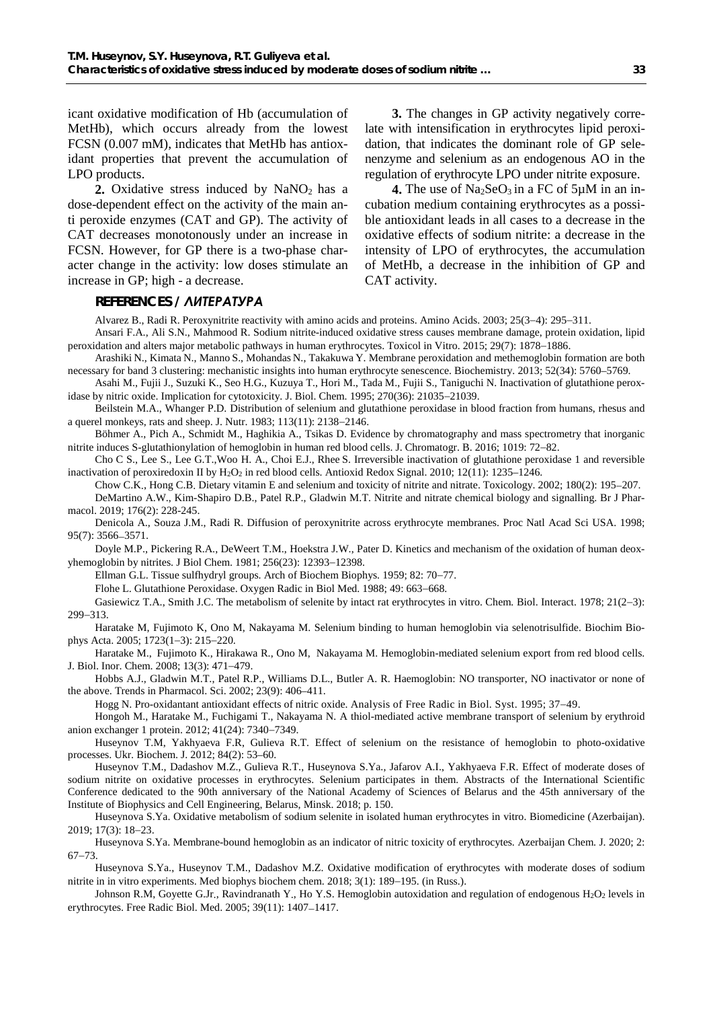icant oxidative modification of Hb (accumulation of MetHb), which occurs already from the lowest FCSN (0.007 mM), indicates that MetHb has antioxidant properties that prevent the accumulation of LPO products.

2. Oxidative stress induced by NaNO<sub>2</sub> has a dose-dependent effect on the activity of the main anti peroxide enzymes (CAT and GP). The activity of CAT decreases monotonously under an increase in FCSN. However, for GP there is a two-phase character change in the activity: low doses stimulate an increase in GP; high - a decrease.

**3.** The changes in GP activity negatively correlate with intensification in erythrocytes lipid peroxidation, that indicates the dominant role of GP selenenzyme and selenium as an endogenous AO in the regulation of erythrocyte LPO under nitrite exposure.

**4.** The use of  $Na<sub>2</sub>SeO<sub>3</sub>$  in a FC of  $5\mu$ M in an incubation medium containing erythrocytes as a possible antioxidant leads in all cases to a decrease in the oxidative effects of sodium nitrite: a decrease in the intensity of LPO of erythrocytes, the accumulation of MetHb, a decrease in the inhibition of GP and CAT activity.

## *REFERENCES / ЛИТЕРАТУРА*

Alvarez B., Radi R. Peroxynitrite reactivity with amino acids and proteins. Amino Acids. 2003; 25(3−4): 295−311.

[Ansari F.A.,](https://europepmc.org/search?query=AUTH:%22Fariheen%20Aisha%20Ansari%22) [Ali S.N.,](https://europepmc.org/search?query=AUTH:%22Shaikh%20Nisar%20Ali%22) [Mahmood R.](https://europepmc.org/authors/0000-0001-6726-157X) Sodium nitrite-induced oxidative stress causes membrane damage, protein oxidation, lipid peroxidation and alters major metabolic pathways in human erythrocytes. Toxicol in Vitro. 2015; 29(7): 1878−1886.

[Arashiki](https://pubs.acs.org/action/doSearch?field1=Contrib&text1=Nobuto++Arashiki) N., [Kimata](https://pubs.acs.org/action/doSearch?field1=Contrib&text1=Naoki++Kimata) N.[, Manno](https://pubs.acs.org/action/doSearch?field1=Contrib&text1=Sumie++Manno) S.[, Mohandas](https://pubs.acs.org/action/doSearch?field1=Contrib&text1=Narla++Mohandas) N., [Takakuwa](https://pubs.acs.org/action/doSearch?field1=Contrib&text1=Yuichi++Takakuwa) Y. Membrane peroxidation and methemoglobin formation are both necessary for band 3 clustering: mechanistic insights into human erythrocyte senescence. Biochemistry. 2013; 52(34): 5760–5769.

[Asahi M.](https://www.ncbi.nlm.nih.gov/pubmed/?term=Asahi%20M%5BAuthor%5D&cauthor=true&cauthor_uid=7673130)[, Fujii J.](https://www.ncbi.nlm.nih.gov/pubmed/?term=Fujii%20J%5BAuthor%5D&cauthor=true&cauthor_uid=7673130), [Suzuki K.](https://www.ncbi.nlm.nih.gov/pubmed/?term=Suzuki%20K%5BAuthor%5D&cauthor=true&cauthor_uid=7673130)[, Seo H.G.,](https://www.ncbi.nlm.nih.gov/pubmed/?term=Seo%20HG%5BAuthor%5D&cauthor=true&cauthor_uid=7673130) [Kuzuya T.](https://www.ncbi.nlm.nih.gov/pubmed/?term=Kuzuya%20T%5BAuthor%5D&cauthor=true&cauthor_uid=7673130), [Hori M.](https://www.ncbi.nlm.nih.gov/pubmed/?term=Hori%20M%5BAuthor%5D&cauthor=true&cauthor_uid=7673130)[, Tada M.](https://www.ncbi.nlm.nih.gov/pubmed/?term=Tada%20M%5BAuthor%5D&cauthor=true&cauthor_uid=7673130)[, Fujii S.](https://www.ncbi.nlm.nih.gov/pubmed/?term=Fujii%20S%5BAuthor%5D&cauthor=true&cauthor_uid=7673130)[, Taniguchi N.](https://www.ncbi.nlm.nih.gov/pubmed/?term=Taniguchi%20N%5BAuthor%5D&cauthor=true&cauthor_uid=7673130) Inactivation of glutathione peroxidase by nitric oxide. Implication for cytotoxicity. J. Biol. [Chem.](https://www.ncbi.nlm.nih.gov/pubmed/7673130) 1995; 270(36): 21035−21039.

Beilstein M.A., Whanger P.D. Distribution of selenium and glutathione peroxidase in blood fraction from humans, rhesus and a querel monkeys, rats and sheep. J. Nutr. 1983; 113(11): 2138−2146.

Böhmer A., Pich A., Schmidt M., Haghikia A., Tsikas D. Evidence by chromatography and mass spectrometry that inorganic nitrite induces S-glutathionylation of hemoglobin in human red blood cells. J. Chromatogr. B. 2016; 1019: 72−82.

[Cho](https://www.ncbi.nlm.nih.gov/pubmed/?term=Cho%20CS%5BAuthor%5D&cauthor=true&cauthor_uid=20070187) C S., [Lee](https://www.ncbi.nlm.nih.gov/pubmed/?term=Lee%20S%5BAuthor%5D&cauthor=true&cauthor_uid=20070187) S., [Lee](https://www.ncbi.nlm.nih.gov/pubmed/?term=Lee%20GT%5BAuthor%5D&cauthor=true&cauthor_uid=20070187) G.T.[,Woo](https://www.ncbi.nlm.nih.gov/pubmed/?term=Woo%20HA%5BAuthor%5D&cauthor=true&cauthor_uid=20070187) H. A., [Choi](https://www.ncbi.nlm.nih.gov/pubmed/?term=Choi%20EJ%5BAuthor%5D&cauthor=true&cauthor_uid=20070187) E.J., [Rhee](https://www.ncbi.nlm.nih.gov/pubmed/?term=Rhee%20SG%5BAuthor%5D&cauthor=true&cauthor_uid=20070187) S. Irreversible inactivation of glutathione peroxidase 1 and reversible inactivation of peroxiredoxin II by H<sub>2</sub>O<sub>2</sub> in red blood cells[. Antioxid Redox Signal.](https://www.ncbi.nlm.nih.gov/pmc/articles/PMC2875961/) 2010; 12(11): 1235–1246.

[Chow C.K](https://www.ncbi.nlm.nih.gov/pubmed/?term=Chow%20CK%5BAuthor%5D&cauthor=true&cauthor_uid=12324194).[, Hong C.B](https://www.ncbi.nlm.nih.gov/pubmed/?term=Hong%20CB%5BAuthor%5D&cauthor=true&cauthor_uid=12324194). Dietary vitamin E and selenium and toxicity of nitrite and nitrate[. Toxicology.](https://www.ncbi.nlm.nih.gov/pubmed/12324194) 2002; 180(2): 195−207. DeMartino A.W., Kim-Shapiro D.B., Patel R.P., Gladwin M.T. Nitrite and nitrate chemical biology and signalling. Br J Pharmacol. 2019; 176(2): 228-245.

Denicola A., Souza J.M., Radi R. Diffusion of peroxynitrite across erythrocyte membranes. [Proc Natl Acad Sci USA.](https://www.ncbi.nlm.nih.gov/pmc/articles/PMC19876/) 1998; 95(7): 3566−3571.

Doyle M.P., Pickering R.A., DeWeert T.M., Hoekstra J.W., Pater D. Kinetics and mechanism of the oxidation of human deoxyhemoglobin by nitrites. J Biol Chem. 1981; 256(23): 12393−12398.

Ellman G.L. Tissue sulfhydryl groups. Arch of Biochem Biophys. 1959; 82: 70−77.

Flohe L. Glutathione Peroxidase. Oxygen Radic in Biol Med. 1988; 49: 663−668.

Gasiewicz T.A., Smith J.C. The metabolism of selenite by intact rat erythrocytes in vitro. Chem. Biol. Interact. 1978; 21(2−3): 299−313.

[Haratake M,](https://www.ncbi.nlm.nih.gov/pubmed/?term=Haratake%20M%5BAuthor%5D&cauthor=true&cauthor_uid=15780970) [Fujimoto K,](https://www.ncbi.nlm.nih.gov/pubmed/?term=Fujimoto%20K%5BAuthor%5D&cauthor=true&cauthor_uid=15780970) [Ono M,](https://www.ncbi.nlm.nih.gov/pubmed/?term=Ono%20M%5BAuthor%5D&cauthor=true&cauthor_uid=15780970) [Nakayama M.](https://www.ncbi.nlm.nih.gov/pubmed/?term=Nakayama%20M%5BAuthor%5D&cauthor=true&cauthor_uid=15780970) Selenium binding to human hemoglobin via selenotrisulfide. [Biochim Bio](https://www.ncbi.nlm.nih.gov/pubmed/15780970)[phys Acta.](https://www.ncbi.nlm.nih.gov/pubmed/15780970) 2005; 1723(1−3): 215−220.

[Haratake](https://pubmed.ncbi.nlm.nih.gov/?term=Haratake+M&cauthor_id=18175156) M., [Fujimoto](https://pubmed.ncbi.nlm.nih.gov/?term=Fujimoto+K&cauthor_id=18175156) K., [Hirakawa](https://pubmed.ncbi.nlm.nih.gov/?term=Hirakawa+R&cauthor_id=18175156) R., [Ono](https://pubmed.ncbi.nlm.nih.gov/?term=Ono+M&cauthor_id=18175156) M, [Nakayama](https://pubmed.ncbi.nlm.nih.gov/?term=Nakayama+M&cauthor_id=18175156) M. Hemoglobin-mediated selenium export from red blood cells. J. Biol. Inor. Chem. 2008; 13(3): 471−479.

Hobbs A.J., Gladwin M.T., Patel R.P., Williams D.L., Butler A. R. Haemoglobin: NO transporter, NO inactivator or none of the above. Trends in Pharmacol. Sci. 2002; 23(9): 406–411.

Hogg N. Pro-oxidantant antioxidant effects of nitric oxide. [Analysis of Free Radic in Biol.](https://link.springer.com/book/10.1007/978-3-0348-9074-8) Syst. 1995; 37−49.

[Hongoh](https://pubs.rsc.org/en/results?searchtext=Author%3AMasafumi%20Hongoh) M., [Haratake](https://pubs.rsc.org/en/results?searchtext=Author%3AMamoru%20Haratake) M., [Fuchigami](https://pubs.rsc.org/en/results?searchtext=Author%3ATakeshi%20Fuchigami) T., Nakayama N. A thiol-mediated active membrane transport of selenium by erythroid anion exchanger 1 protein. 2012; 41(24): 7340−7349.

Huseynov T.M, Yakhyaeva F.R, Gulieva R.T. Effect of selenium on the resistance of hemoglobin to photo-oxidative processes. Ukr. Biochem. J. 2012; 84(2): 53–60.

Huseynov T.M., Dadashov M.Z., Gulieva R.T., Huseynova S.Ya., Jafarov A.I., Yakhyaeva F.R. Effect of moderate doses of sodium nitrite on oxidative processes in erythrocytes. Selenium participates in them. Abstracts of the International Scientific Conference dedicated to the 90th anniversary of the National Academy of Sciences of Belarus and the 45th anniversary of the Institute of Biophysics and Cell Engineering, Belarus, Minsk. 2018; p. 150.

Huseynova S.Ya. Oxidative metabolism of sodium selenite in isolated human erythrocytes in vitro. Biomedicine (Azerbaijan). 2019; 17(3): 18−23.

Huseynova S.Ya. Membrane-bound hemoglobin as an indicator of nitric toxicity of erythrocytes. Azerbaijan Chem. J. 2020; 2: 67−73.

Huseynova S.Ya., Huseynov T.M., Dadashov M.Z. Oxidative modification of erythrocytes with moderate doses of sodium nitrite in in vitro experiments. Med biophys biochem chem. 2018; 3(1): 189−195. (in Russ.).

[Johnson R.M,](https://www.ncbi.nlm.nih.gov/pubmed/?term=Johnson%20RM%5BAuthor%5D&cauthor=true&cauthor_uid=16274876) [Goyette G.Jr](https://www.ncbi.nlm.nih.gov/pubmed/?term=Goyette%20G%20Jr%5BAuthor%5D&cauthor=true&cauthor_uid=16274876)., [Ravindranath Y](https://www.ncbi.nlm.nih.gov/pubmed/?term=Ravindranath%20Y%5BAuthor%5D&cauthor=true&cauthor_uid=16274876)., [Ho Y.S.](https://www.ncbi.nlm.nih.gov/pubmed/?term=Ho%20YS%5BAuthor%5D&cauthor=true&cauthor_uid=16274876) Hemoglobin autoxidation and regulation of endogenous H<sub>2</sub>O<sub>2</sub> levels in erythrocytes. [Free Radic Biol.](https://www.ncbi.nlm.nih.gov/pubmed/16274876) Med. 2005; 39(11): 1407−1417.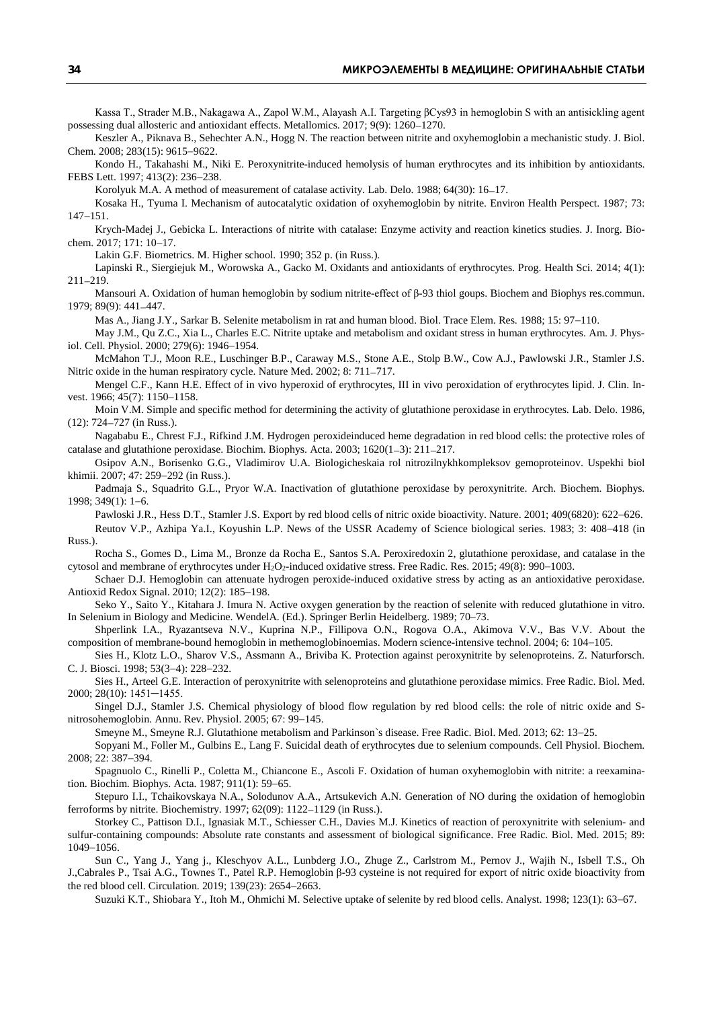Kassa T., Strader M.B., Nakagawa A., Zapol W.M., Alayash A.I. Targeting βCys93 in hemoglobin S with an antisickling agent possessing dual allosteric and antioxidant effects. Metallomics. 2017; 9(9): 1260−1270.

Keszler A., Piknava B., Sehechter A.N., Hogg N. The reaction between nitrite and oxyhemoglobin a mechanistic study. J. Biol. Chem. 2008; 283(15): 9615−9622.

Kondo H., Takahashi M., Niki E. Peroxynitrite-induced hemolysis of human erythrocytes and its inhibition by antioxidants. FEBS Lett. 1997; 413(2): 236−238.

Korolyuk M.A. A method of measurement of catalase activity. Lab. Delo. 1988; 64(30): 16−17.

Kosaka H., Tyuma I. Mechanism of autocatalytic oxidation of oxyhemoglobin by nitrite. Environ Health Perspect. 1987; 73: 147−151.

[Krych-Madej J](https://www.ncbi.nlm.nih.gov/pubmed/?term=Krych-Madej%20J%5BAuthor%5D&cauthor=true&cauthor_uid=28282582)., [Gebicka L.](https://www.ncbi.nlm.nih.gov/pubmed/?term=Gebicka%20L%5BAuthor%5D&cauthor=true&cauthor_uid=28282582) Interactions of nitrite with catalase: Enzyme activity and reaction kinetics studies. J. [Inorg.](https://www.ncbi.nlm.nih.gov/pubmed/28282582) Bio[chem.](https://www.ncbi.nlm.nih.gov/pubmed/28282582) 2017; 171: 10−17.

Lakin G.F. Biometrics. M. Higher school. 1990; 352 p. (in Russ.).

Lapinski R., Siergiejuk M., Worowska A., Gacko M. Oxidants and antioxidants of erythrocytes. Prog. Health Sci. 2014; 4(1): 211−219.

Mansouri A. Oxidation of human hemoglobin by sodium nitrite-effect of β-93 thiol goups. Biochem and Biophys res.commun. 1979; 89(9): 441−447.

[Mas](https://europepmc.org/search?query=AUTH:%22A%20Mas%22) A., [Jiang](https://europepmc.org/search?query=AUTH:%22J%20Y%20Jiang%22) J.Y., [Sarkar](https://europepmc.org/search?query=AUTH:%22B%20Sarkar%22) B. Selenite metabolism in rat and human blood. Biol. Trace Elem. Res. 1988; 15: 97−110.

May J.M., Qu Z.C., Xia L., Charles E.C. Nitrite uptake and metabolism and oxidant stress in human erythrocytes. Am. J. Physiol. Cell. Physiol. 2000; 279(6): 1946−1954.

McMahon T.J., Moon R.E., Luschinger B.P., Caraway M.S., Stone A.E., Stolp B.W., Cow A.J., Pawlowski J.R., Stamler J.S. Nitric oxide in the human respiratory cycle. Nature Med. 2002; 8: 711−717.

Mengel C.F., Kann H.E. Effect of in vivo hyperoxid of erythrocytes, III in vivo peroxidation of erythrocytes lipid. J. Clin. Invest. 1966; 45(7): 1150–1158.

Moin V.М. Simple and specific method for determining the activity of glutathione peroxidase in erythrocytes. Lab. Delo. 1986, (12): 724−727 (in Russ.).

[Nagababu E](https://www.ncbi.nlm.nih.gov/pubmed/?term=Nagababu%20E%5BAuthor%5D&cauthor=true&cauthor_uid=12595091)., [Chrest F.J](https://www.ncbi.nlm.nih.gov/pubmed/?term=Chrest%20FJ%5BAuthor%5D&cauthor=true&cauthor_uid=12595091).[, Rifkind J.M.](https://www.ncbi.nlm.nih.gov/pubmed/?term=Rifkind%20JM%5BAuthor%5D&cauthor=true&cauthor_uid=12595091) Hydrogen peroxideinduced heme degradation in red blood cells: the protective roles of catalase and glutathione peroxidase. [Biochim.](https://www.ncbi.nlm.nih.gov/pubmed/12595091) Biophys. Acta. 2003; 1620(1−3): 211−217.

Osipov A.N., Borisenko G.G., Vladimirov U.A. Biologicheskaia rol nitrozilnykhkompleksov gemoproteinov. Uspekhi biol khimii. 2007; 47: 259−292 (in Russ.).

[Padmaja S.](https://www.ncbi.nlm.nih.gov/pubmed/?term=Padmaja%20S%5BAuthor%5D&cauthor=true&cauthor_uid=9439576), [Squadrito G.L.](https://www.ncbi.nlm.nih.gov/pubmed/?term=Squadrito%20GL%5BAuthor%5D&cauthor=true&cauthor_uid=9439576), [Pryor W.A.](https://www.ncbi.nlm.nih.gov/pubmed/?term=Pryor%20WA%5BAuthor%5D&cauthor=true&cauthor_uid=9439576) Inactivation of glutathione peroxidase by peroxynitrite. Arch. [Biochem.](https://www.ncbi.nlm.nih.gov/pubmed/9439576) Biophys. 1998; 349(1): 1−6.

[Pawloski J.R](https://www.ncbi.nlm.nih.gov/pubmed/?term=Pawloski%20JR%5BAuthor%5D&cauthor=true&cauthor_uid=11214321)., [Hess D.T](https://www.ncbi.nlm.nih.gov/pubmed/?term=Hess%20DT%5BAuthor%5D&cauthor=true&cauthor_uid=11214321)., [Stamler J.S.](https://www.ncbi.nlm.nih.gov/pubmed/?term=Stamler%20JS%5BAuthor%5D&cauthor=true&cauthor_uid=11214321) Export by red blood cells of nitric oxide bioactivity. [Nature.](https://www.ncbi.nlm.nih.gov/pubmed/11214321) 2001; 409(6820): 622−626.

Reutov V.P., Azhipa Ya.I., Koyushin L.P. News of the USSR Academy of Science biological series. 1983; 3: 408−418 (in Russ.).

[Rocha S.](https://www.ncbi.nlm.nih.gov/pubmed/?term=Rocha%20S%5BAuthor%5D&cauthor=true&cauthor_uid=25786472), [Gomes D.](https://www.ncbi.nlm.nih.gov/pubmed/?term=Gomes%20D%5BAuthor%5D&cauthor=true&cauthor_uid=25786472), [Lima M.](https://www.ncbi.nlm.nih.gov/pubmed/?term=Lima%20M%5BAuthor%5D&cauthor=true&cauthor_uid=25786472), [Bronze da Rocha E.,](https://www.ncbi.nlm.nih.gov/pubmed/?term=Bronze-da-Rocha%20E%5BAuthor%5D&cauthor=true&cauthor_uid=25786472) [Santos S.A.](https://www.ncbi.nlm.nih.gov/pubmed/?term=Santos-Silva%20A%5BAuthor%5D&cauthor=true&cauthor_uid=25786472) Peroxiredoxin 2, glutathione peroxidase, and catalase in the cytosol and membrane of erythrocytes under H2O2-induced oxidative stress. [Free Radic.](https://www.ncbi.nlm.nih.gov/pubmed/25786472) Res. 2015; 49(8): 990−1003.

[Schaer D.J.](https://www.ncbi.nlm.nih.gov/pubmed/?term=Schaer%20DJ%5BAuthor%5D&cauthor=true&cauthor_uid=19702440) Hemoglobin can attenuate hydrogen peroxide-induced oxidative stress by acting as an antioxidative peroxidase. [Antioxid Redox Signal.](https://www.ncbi.nlm.nih.gov/pubmed/19702440) 2010; 12(2): 185−198.

Seko Y., Saito Y., Kitahara J. Imura N. Active oxygen generation by the reaction of selenite with reduced glutathione in vitro. In Selenium in Biology and Medicine. WendelA. (Ed.). Springer Berlin Heidelberg. 1989; 70–73.

Shperlink I.A., Ryazantseva N.V., Kuprina N.P., Fillipova O.N., Rogova O.A., Akimova V.V., Bas V.V. About the composition of membrane-bound hemoglobin in methemoglobinoemias. Modern science-intensive technol. 2004; 6: 104−105.

[Sies H.,](https://www.ncbi.nlm.nih.gov/pubmed/?term=Sies%20H%5BAuthor%5D&cauthor=true&cauthor_uid=9618937) [Klotz L.O](https://www.ncbi.nlm.nih.gov/pubmed/?term=Klotz%20LO%5BAuthor%5D&cauthor=true&cauthor_uid=9618937)., [Sharov V.S.,](https://www.ncbi.nlm.nih.gov/pubmed/?term=Sharov%20VS%5BAuthor%5D&cauthor=true&cauthor_uid=9618937) [Assmann A.,](https://www.ncbi.nlm.nih.gov/pubmed/?term=Assmann%20A%5BAuthor%5D&cauthor=true&cauthor_uid=9618937) [Briviba K.](https://www.ncbi.nlm.nih.gov/pubmed/?term=Briviba%20K%5BAuthor%5D&cauthor=true&cauthor_uid=9618937) Protection against peroxynitrite by selenoproteins. Z. [Naturforsch.](https://www.ncbi.nlm.nih.gov/pubmed/9618937) C. [J. Biosci.](https://www.ncbi.nlm.nih.gov/pubmed/9618937) 1998; 53(3−4): 228−232.

[Sies H.](https://www.ncbi.nlm.nih.gov/pubmed/?term=Sies%20H%5BAuthor%5D&cauthor=true&cauthor_uid=10927168), [Arteel G.E.](https://www.ncbi.nlm.nih.gov/pubmed/?term=Arteel%20GE%5BAuthor%5D&cauthor=true&cauthor_uid=10927168) Interaction of peroxynitrite with selenoproteins and glutathione peroxidase mimics. [Free Radic.](https://www.ncbi.nlm.nih.gov/pubmed/10927168) Biol. Med. 2000; 28(10): 1451─1455.

Singel D.J., Stamler J.S. Chemical physiology of blood flow regulation by red blood cells: the role of nitric oxide and Snitrosohemoglobin. Annu. Rev. Physiol. 2005; 67: 99−145.

Smeyne M., Smeyne R.J. Glutathione metabolism and Parkinson`s disease. Free Radic. Biol. Med. 2013; 62: 13−25.

Sopyani M., Foller M., Gulbins E., Lang F. Suicidal death of erythrocytes due to selenium compounds. Cell Physiol. Biochem. 2008; 22: 387−394.

Spagnuolo C., Rinelli P., Coletta M., Chiancone E., Ascoli F. Oxidation of human oxyhemoglobin with nitrite: a reexamination. Biochim. Biophys. Acta. 1987; 911(1): 59−65.

Stepuro I.I., Tchaikovskaya N.A., Solodunov A.A., Artsukevich A.N. Generation of NO during the oxidation of hemoglobin ferroforms by nitrite. Biochemistry. 1997; 62(09): 1122−1129 (in Russ.).

[Storkey C.](https://www.ncbi.nlm.nih.gov/pubmed/?term=Storkey%20C%5BAuthor%5D&cauthor=true&cauthor_uid=26524402), [Pattison D.I.,](https://www.ncbi.nlm.nih.gov/pubmed/?term=Pattison%20DI%5BAuthor%5D&cauthor=true&cauthor_uid=26524402) [Ignasiak M.T.,](https://www.ncbi.nlm.nih.gov/pubmed/?term=Ignasiak%20MT%5BAuthor%5D&cauthor=true&cauthor_uid=26524402) [Schiesser C.H.,](https://www.ncbi.nlm.nih.gov/pubmed/?term=Schiesser%20CH%5BAuthor%5D&cauthor=true&cauthor_uid=26524402) [Davies M.J.](https://www.ncbi.nlm.nih.gov/pubmed/?term=Davies%20MJ%5BAuthor%5D&cauthor=true&cauthor_uid=26524402) Kinetics of reaction of peroxynitrite with selenium- and sulfur-containing compounds: Absolute rate constants and assessment of biological significance. [Free Radic.](https://www.ncbi.nlm.nih.gov/pubmed/26524402) Biol. Med. 2015; 89: 1049−1056.

[Sun](https://pubmed.ncbi.nlm.nih.gov/?term=Sun+CW&cauthor_id=30905171) С., [Yang](https://pubmed.ncbi.nlm.nih.gov/?term=Yang+J&cauthor_id=30905171) J., [Yang j., Kleschyov](https://pubmed.ncbi.nlm.nih.gov/?term=Kleschyov+AL&cauthor_id=30905171) A.L., Lunbderg J.O., Zhuge Z., Carlstrom M., Pernov J., Wajih N., Isbell T.S., Oh J.,Cabrales P., Tsai A.G., Townes T., Patel R.P. Hemoglobin β-93 cysteine is not required for export of nitric oxide bioactivity from the red blood cell. Circulation. 2019; 139(23): 2654−2663.

[Suzuki K.T](https://www.ncbi.nlm.nih.gov/pubmed/?term=Suzuki%20KT%5BAuthor%5D&cauthor=true&cauthor_uid=9581022).[, Shiobara Y](https://www.ncbi.nlm.nih.gov/pubmed/?term=Shiobara%20Y%5BAuthor%5D&cauthor=true&cauthor_uid=9581022)., [Itoh M.](https://www.ncbi.nlm.nih.gov/pubmed/?term=Itoh%20M%5BAuthor%5D&cauthor=true&cauthor_uid=9581022)[, Ohmichi M.](https://www.ncbi.nlm.nih.gov/pubmed/?term=Ohmichi%20M%5BAuthor%5D&cauthor=true&cauthor_uid=9581022) Selective uptake of selenite by red blood cells[. Analyst.](https://www.ncbi.nlm.nih.gov/pubmed/9581022) 1998; 123(1): 63−67.